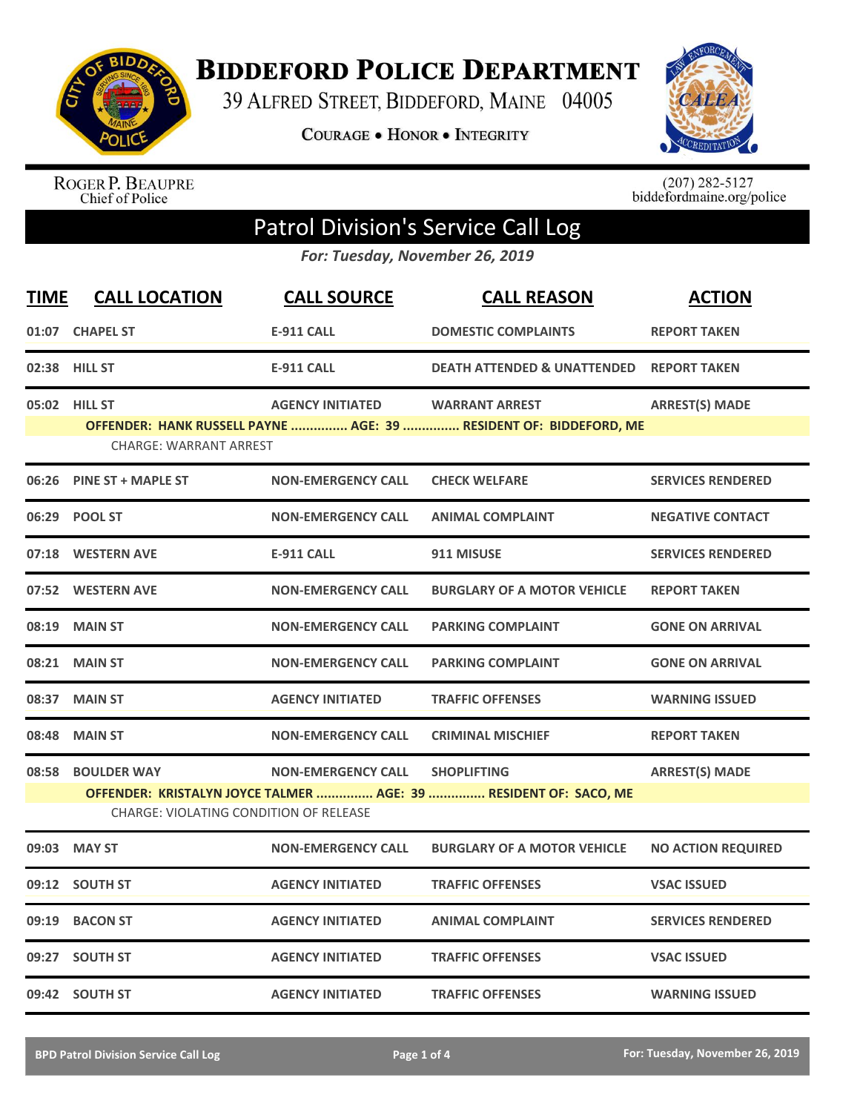

**BIDDEFORD POLICE DEPARTMENT** 

39 ALFRED STREET, BIDDEFORD, MAINE 04005

**COURAGE . HONOR . INTEGRITY** 



ROGER P. BEAUPRE<br>Chief of Police

 $(207)$  282-5127<br>biddefordmaine.org/police

## Patrol Division's Service Call Log

*For: Tuesday, November 26, 2019*

| <b>TIME</b> | <b>CALL LOCATION</b>                                                                                              | <b>CALL SOURCE</b>        | <b>CALL REASON</b>                                                | <b>ACTION</b>             |  |  |
|-------------|-------------------------------------------------------------------------------------------------------------------|---------------------------|-------------------------------------------------------------------|---------------------------|--|--|
|             | 01:07 CHAPEL ST                                                                                                   | <b>E-911 CALL</b>         | <b>DOMESTIC COMPLAINTS</b>                                        | <b>REPORT TAKEN</b>       |  |  |
|             | 02:38 HILL ST                                                                                                     | <b>E-911 CALL</b>         | <b>DEATH ATTENDED &amp; UNATTENDED</b>                            | <b>REPORT TAKEN</b>       |  |  |
|             | 05:02 HILL ST                                                                                                     | <b>AGENCY INITIATED</b>   | <b>WARRANT ARREST</b>                                             | <b>ARREST(S) MADE</b>     |  |  |
|             | <b>CHARGE: WARRANT ARREST</b>                                                                                     |                           | OFFENDER: HANK RUSSELL PAYNE  AGE: 39  RESIDENT OF: BIDDEFORD, ME |                           |  |  |
|             | 06:26 PINE ST + MAPLE ST                                                                                          | <b>NON-EMERGENCY CALL</b> | <b>CHECK WELFARE</b>                                              | <b>SERVICES RENDERED</b>  |  |  |
| 06:29       | <b>POOL ST</b>                                                                                                    | <b>NON-EMERGENCY CALL</b> | <b>ANIMAL COMPLAINT</b>                                           | <b>NEGATIVE CONTACT</b>   |  |  |
|             | 07:18 WESTERN AVE                                                                                                 | <b>E-911 CALL</b>         | 911 MISUSE                                                        | <b>SERVICES RENDERED</b>  |  |  |
|             | 07:52 WESTERN AVE                                                                                                 | <b>NON-EMERGENCY CALL</b> | <b>BURGLARY OF A MOTOR VEHICLE</b>                                | <b>REPORT TAKEN</b>       |  |  |
| 08:19       | <b>MAIN ST</b>                                                                                                    | <b>NON-EMERGENCY CALL</b> | <b>PARKING COMPLAINT</b>                                          | <b>GONE ON ARRIVAL</b>    |  |  |
|             | 08:21 MAIN ST                                                                                                     | <b>NON-EMERGENCY CALL</b> | <b>PARKING COMPLAINT</b>                                          | <b>GONE ON ARRIVAL</b>    |  |  |
|             | 08:37 MAIN ST                                                                                                     | <b>AGENCY INITIATED</b>   | <b>TRAFFIC OFFENSES</b>                                           | <b>WARNING ISSUED</b>     |  |  |
| 08:48       | <b>MAIN ST</b>                                                                                                    | <b>NON-EMERGENCY CALL</b> | <b>CRIMINAL MISCHIEF</b>                                          | <b>REPORT TAKEN</b>       |  |  |
| 08:58       | <b>BOULDER WAY</b>                                                                                                | <b>NON-EMERGENCY CALL</b> | <b>SHOPLIFTING</b>                                                | <b>ARREST(S) MADE</b>     |  |  |
|             | OFFENDER: KRISTALYN JOYCE TALMER  AGE: 39  RESIDENT OF: SACO, ME<br><b>CHARGE: VIOLATING CONDITION OF RELEASE</b> |                           |                                                                   |                           |  |  |
| 09:03       | <b>MAY ST</b>                                                                                                     | <b>NON-EMERGENCY CALL</b> | <b>BURGLARY OF A MOTOR VEHICLE</b>                                | <b>NO ACTION REQUIRED</b> |  |  |
| 09:12       | <b>SOUTH ST</b>                                                                                                   | <b>AGENCY INITIATED</b>   | <b>TRAFFIC OFFENSES</b>                                           | <b>VSAC ISSUED</b>        |  |  |
| 09:19       | <b>BACON ST</b>                                                                                                   | <b>AGENCY INITIATED</b>   | <b>ANIMAL COMPLAINT</b>                                           | <b>SERVICES RENDERED</b>  |  |  |
| 09:27       | <b>SOUTH ST</b>                                                                                                   | <b>AGENCY INITIATED</b>   | <b>TRAFFIC OFFENSES</b>                                           | <b>VSAC ISSUED</b>        |  |  |
|             | 09:42 SOUTH ST                                                                                                    | <b>AGENCY INITIATED</b>   | <b>TRAFFIC OFFENSES</b>                                           | <b>WARNING ISSUED</b>     |  |  |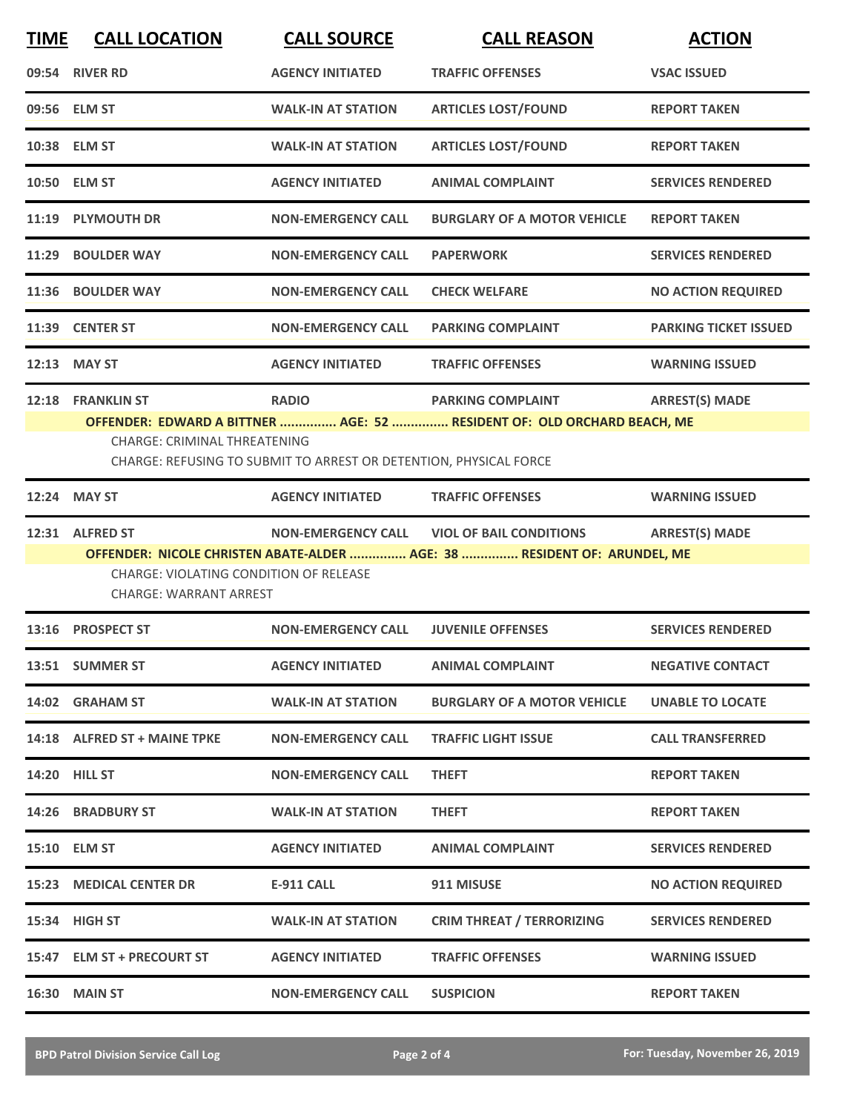| <b>TIME</b> | <b>CALL LOCATION</b>                                                           | <b>CALL SOURCE</b>                                                | <b>CALL REASON</b>                                                       | <b>ACTION</b>                |
|-------------|--------------------------------------------------------------------------------|-------------------------------------------------------------------|--------------------------------------------------------------------------|------------------------------|
|             | 09:54 RIVER RD                                                                 | <b>AGENCY INITIATED</b>                                           | <b>TRAFFIC OFFENSES</b>                                                  | <b>VSAC ISSUED</b>           |
|             | 09:56 ELM ST                                                                   | <b>WALK-IN AT STATION</b>                                         | <b>ARTICLES LOST/FOUND</b>                                               | <b>REPORT TAKEN</b>          |
|             | 10:38 ELM ST                                                                   | <b>WALK-IN AT STATION</b>                                         | <b>ARTICLES LOST/FOUND</b>                                               | <b>REPORT TAKEN</b>          |
|             | 10:50 ELM ST                                                                   | <b>AGENCY INITIATED</b>                                           | <b>ANIMAL COMPLAINT</b>                                                  | <b>SERVICES RENDERED</b>     |
|             | 11:19 PLYMOUTH DR                                                              | <b>NON-EMERGENCY CALL</b>                                         | <b>BURGLARY OF A MOTOR VEHICLE</b>                                       | <b>REPORT TAKEN</b>          |
|             | 11:29 BOULDER WAY                                                              | <b>NON-EMERGENCY CALL</b>                                         | <b>PAPERWORK</b>                                                         | <b>SERVICES RENDERED</b>     |
|             | 11:36 BOULDER WAY                                                              | <b>NON-EMERGENCY CALL</b>                                         | <b>CHECK WELFARE</b>                                                     | <b>NO ACTION REQUIRED</b>    |
|             | 11:39 CENTER ST                                                                | <b>NON-EMERGENCY CALL</b>                                         | <b>PARKING COMPLAINT</b>                                                 | <b>PARKING TICKET ISSUED</b> |
| 12:13       | <b>MAY ST</b>                                                                  | <b>AGENCY INITIATED</b>                                           | <b>TRAFFIC OFFENSES</b>                                                  | <b>WARNING ISSUED</b>        |
|             | 12:18 FRANKLIN ST                                                              | <b>RADIO</b>                                                      | <b>PARKING COMPLAINT</b>                                                 | <b>ARREST(S) MADE</b>        |
|             |                                                                                |                                                                   | OFFENDER: EDWARD A BITTNER  AGE: 52  RESIDENT OF: OLD ORCHARD BEACH, ME  |                              |
|             | <b>CHARGE: CRIMINAL THREATENING</b>                                            | CHARGE: REFUSING TO SUBMIT TO ARREST OR DETENTION, PHYSICAL FORCE |                                                                          |                              |
|             | 12:24 MAY ST                                                                   | <b>AGENCY INITIATED</b>                                           | <b>TRAFFIC OFFENSES</b>                                                  | <b>WARNING ISSUED</b>        |
|             | 12:31 ALFRED ST                                                                | <b>NON-EMERGENCY CALL</b>                                         | <b>VIOL OF BAIL CONDITIONS</b>                                           | <b>ARREST(S) MADE</b>        |
|             |                                                                                |                                                                   | OFFENDER: NICOLE CHRISTEN ABATE-ALDER  AGE: 38  RESIDENT OF: ARUNDEL, ME |                              |
|             | <b>CHARGE: VIOLATING CONDITION OF RELEASE</b><br><b>CHARGE: WARRANT ARREST</b> |                                                                   |                                                                          |                              |
|             | 13:16 PROSPECT ST                                                              | <b>NON-EMERGENCY CALL</b>                                         | <b>JUVENILE OFFENSES</b>                                                 | <b>SERVICES RENDERED</b>     |
|             | 13:51 SUMMER ST                                                                | <b>AGENCY INITIATED</b>                                           | <b>ANIMAL COMPLAINT</b>                                                  | <b>NEGATIVE CONTACT</b>      |
|             | 14:02 GRAHAM ST                                                                | <b>WALK-IN AT STATION</b>                                         | <b>BURGLARY OF A MOTOR VEHICLE</b>                                       | <b>UNABLE TO LOCATE</b>      |
|             | 14:18 ALFRED ST + MAINE TPKE                                                   | <b>NON-EMERGENCY CALL</b>                                         | <b>TRAFFIC LIGHT ISSUE</b>                                               | <b>CALL TRANSFERRED</b>      |
|             | <b>14:20 HILL ST</b>                                                           | <b>NON-EMERGENCY CALL</b>                                         | <b>THEFT</b>                                                             | <b>REPORT TAKEN</b>          |
|             | 14:26 BRADBURY ST                                                              | <b>WALK-IN AT STATION</b>                                         | <b>THEFT</b>                                                             | <b>REPORT TAKEN</b>          |
|             | 15:10 ELM ST                                                                   | <b>AGENCY INITIATED</b>                                           | <b>ANIMAL COMPLAINT</b>                                                  | <b>SERVICES RENDERED</b>     |
|             | 15:23 MEDICAL CENTER DR                                                        | <b>E-911 CALL</b>                                                 | 911 MISUSE                                                               | <b>NO ACTION REQUIRED</b>    |
|             | 15:34 HIGH ST                                                                  | <b>WALK-IN AT STATION</b>                                         | <b>CRIM THREAT / TERRORIZING</b>                                         | <b>SERVICES RENDERED</b>     |
|             | 15:47 ELM ST + PRECOURT ST                                                     | <b>AGENCY INITIATED</b>                                           | <b>TRAFFIC OFFENSES</b>                                                  | <b>WARNING ISSUED</b>        |
|             | <b>16:30 MAIN ST</b>                                                           | <b>NON-EMERGENCY CALL</b>                                         | <b>SUSPICION</b>                                                         | <b>REPORT TAKEN</b>          |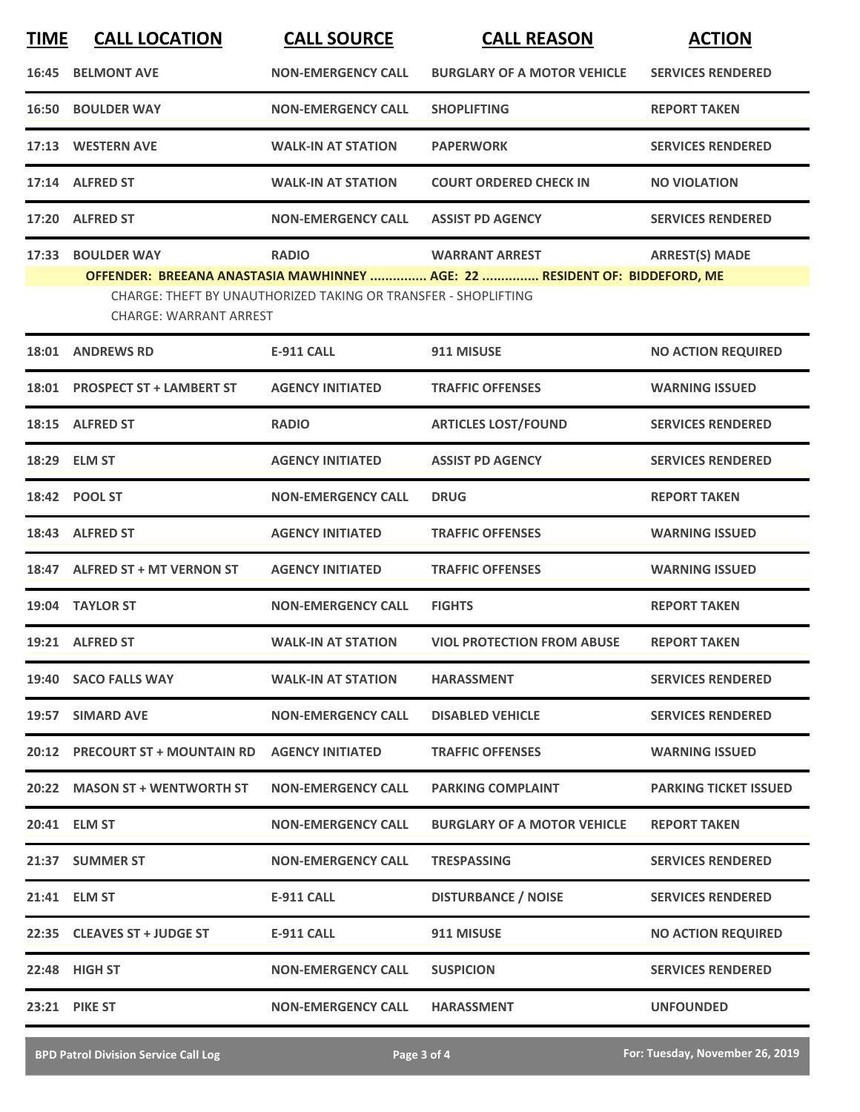| 16:45<br>16:50<br>17:14 ALFRED ST<br>17:20 | <b>BELMONT AVE</b><br><b>BOULDER WAY</b><br>17:13 WESTERN AVE<br><b>ALFRED ST</b>                                                                                                                                   | <b>NON-EMERGENCY CALL</b><br><b>NON-EMERGENCY CALL</b><br><b>WALK-IN AT STATION</b><br><b>WALK-IN AT STATION</b><br><b>NON-EMERGENCY CALL</b> | <b>BURGLARY OF A MOTOR VEHICLE</b><br><b>SHOPLIFTING</b><br><b>PAPERWORK</b><br><b>COURT ORDERED CHECK IN</b> | <b>SERVICES RENDERED</b><br><b>REPORT TAKEN</b><br><b>SERVICES RENDERED</b><br><b>NO VIOLATION</b> |
|--------------------------------------------|---------------------------------------------------------------------------------------------------------------------------------------------------------------------------------------------------------------------|-----------------------------------------------------------------------------------------------------------------------------------------------|---------------------------------------------------------------------------------------------------------------|----------------------------------------------------------------------------------------------------|
|                                            |                                                                                                                                                                                                                     |                                                                                                                                               |                                                                                                               |                                                                                                    |
|                                            |                                                                                                                                                                                                                     |                                                                                                                                               |                                                                                                               |                                                                                                    |
|                                            |                                                                                                                                                                                                                     |                                                                                                                                               |                                                                                                               |                                                                                                    |
|                                            |                                                                                                                                                                                                                     |                                                                                                                                               |                                                                                                               |                                                                                                    |
|                                            |                                                                                                                                                                                                                     |                                                                                                                                               | <b>ASSIST PD AGENCY</b>                                                                                       | <b>SERVICES RENDERED</b>                                                                           |
| 17:33                                      | <b>BOULDER WAY</b><br><b>RADIO</b><br>OFFENDER: BREEANA ANASTASIA MAWHINNEY  AGE: 22  RESIDENT OF: BIDDEFORD, ME<br>CHARGE: THEFT BY UNAUTHORIZED TAKING OR TRANSFER - SHOPLIFTING<br><b>CHARGE: WARRANT ARREST</b> |                                                                                                                                               | <b>WARRANT ARREST</b><br><b>ARREST(S) MADE</b>                                                                |                                                                                                    |
|                                            | 18:01 ANDREWS RD                                                                                                                                                                                                    | <b>E-911 CALL</b>                                                                                                                             | 911 MISUSE                                                                                                    | <b>NO ACTION REQUIRED</b>                                                                          |
|                                            | 18:01 PROSPECT ST + LAMBERT ST                                                                                                                                                                                      | <b>AGENCY INITIATED</b>                                                                                                                       | <b>TRAFFIC OFFENSES</b>                                                                                       | <b>WARNING ISSUED</b>                                                                              |
| 18:15 ALFRED ST                            |                                                                                                                                                                                                                     | <b>RADIO</b>                                                                                                                                  | <b>ARTICLES LOST/FOUND</b>                                                                                    | <b>SERVICES RENDERED</b>                                                                           |
| 18:29 ELM ST                               |                                                                                                                                                                                                                     | <b>AGENCY INITIATED</b>                                                                                                                       | <b>ASSIST PD AGENCY</b>                                                                                       | <b>SERVICES RENDERED</b>                                                                           |
| 18:42 POOL ST                              |                                                                                                                                                                                                                     | <b>NON-EMERGENCY CALL</b>                                                                                                                     | <b>DRUG</b>                                                                                                   | <b>REPORT TAKEN</b>                                                                                |
| 18:43                                      | <b>ALFRED ST</b>                                                                                                                                                                                                    | <b>AGENCY INITIATED</b>                                                                                                                       | <b>TRAFFIC OFFENSES</b>                                                                                       | <b>WARNING ISSUED</b>                                                                              |
| 18:47                                      | <b>ALFRED ST + MT VERNON ST</b>                                                                                                                                                                                     | <b>AGENCY INITIATED</b>                                                                                                                       | <b>TRAFFIC OFFENSES</b>                                                                                       | <b>WARNING ISSUED</b>                                                                              |
| 19:04                                      | <b>TAYLOR ST</b>                                                                                                                                                                                                    | <b>NON-EMERGENCY CALL</b>                                                                                                                     | <b>FIGHTS</b>                                                                                                 | <b>REPORT TAKEN</b>                                                                                |
| 19:21 ALFRED ST                            |                                                                                                                                                                                                                     | <b>WALK-IN AT STATION</b>                                                                                                                     | <b>VIOL PROTECTION FROM ABUSE</b>                                                                             | <b>REPORT TAKEN</b>                                                                                |
|                                            | 19:40 SACO FALLS WAY                                                                                                                                                                                                | <b>WALK-IN AT STATION</b>                                                                                                                     | <b>HARASSMENT</b>                                                                                             | <b>SERVICES RENDERED</b>                                                                           |
|                                            | 19:57 SIMARD AVE                                                                                                                                                                                                    | <b>NON-EMERGENCY CALL</b>                                                                                                                     | <b>DISABLED VEHICLE</b>                                                                                       | <b>SERVICES RENDERED</b>                                                                           |
|                                            | 20:12 PRECOURT ST + MOUNTAIN RD                                                                                                                                                                                     | <b>AGENCY INITIATED</b>                                                                                                                       | <b>TRAFFIC OFFENSES</b>                                                                                       | <b>WARNING ISSUED</b>                                                                              |
|                                            | 20:22 MASON ST + WENTWORTH ST                                                                                                                                                                                       | <b>NON-EMERGENCY CALL</b>                                                                                                                     | <b>PARKING COMPLAINT</b>                                                                                      | <b>PARKING TICKET ISSUED</b>                                                                       |
| 20:41 ELM ST                               |                                                                                                                                                                                                                     | <b>NON-EMERGENCY CALL</b>                                                                                                                     | <b>BURGLARY OF A MOTOR VEHICLE</b>                                                                            | <b>REPORT TAKEN</b>                                                                                |
|                                            | 21:37 SUMMER ST                                                                                                                                                                                                     | <b>NON-EMERGENCY CALL</b>                                                                                                                     | <b>TRESPASSING</b>                                                                                            | <b>SERVICES RENDERED</b>                                                                           |
| 21:41 ELM ST                               |                                                                                                                                                                                                                     | E-911 CALL                                                                                                                                    | <b>DISTURBANCE / NOISE</b>                                                                                    | <b>SERVICES RENDERED</b>                                                                           |
|                                            | 22:35 CLEAVES ST + JUDGE ST                                                                                                                                                                                         | <b>E-911 CALL</b>                                                                                                                             | 911 MISUSE                                                                                                    | <b>NO ACTION REQUIRED</b>                                                                          |
| 22:48 HIGH ST                              |                                                                                                                                                                                                                     | <b>NON-EMERGENCY CALL</b>                                                                                                                     | <b>SUSPICION</b>                                                                                              | <b>SERVICES RENDERED</b>                                                                           |
| 23:21 PIKE ST                              |                                                                                                                                                                                                                     | <b>NON-EMERGENCY CALL</b>                                                                                                                     | <b>HARASSMENT</b>                                                                                             | <b>UNFOUNDED</b>                                                                                   |